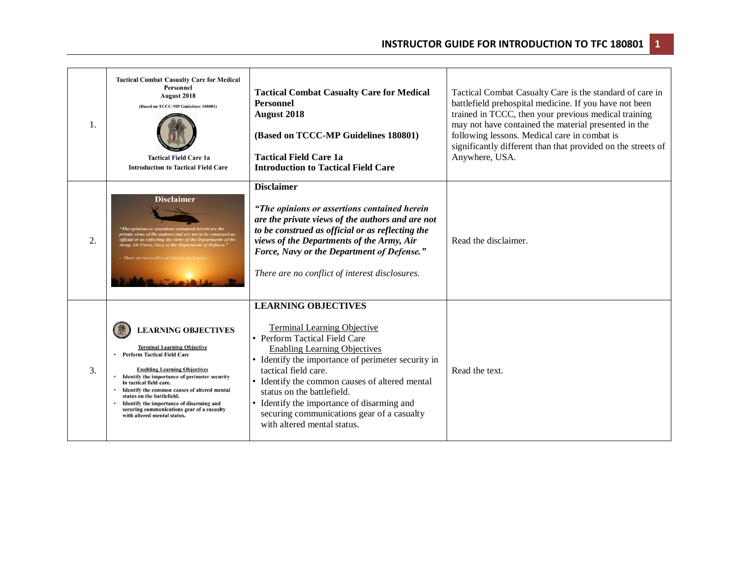| $\mathbf{1}$ . | <b>Tactical Combat Casualty Care for Medical</b><br>Personnel<br><b>August 2018</b><br>(Based on TCCC-MP Guidelines 180801)<br><b>Tactical Field Care 1a</b><br><b>Introduction to Tactical Field Care</b>                                                                                                                                                                                                                       | <b>Tactical Combat Casualty Care for Medical</b><br><b>Personnel</b><br><b>August 2018</b><br>(Based on TCCC-MP Guidelines 180801)<br><b>Tactical Field Care 1a</b><br><b>Introduction to Tactical Field Care</b>                                                                                                                                                                                                                 | Tactical Combat Casualty Care is the standard of care in<br>battlefield prehospital medicine. If you have not been<br>trained in TCCC, then your previous medical training<br>may not have contained the material presented in the<br>following lessons. Medical care in combat is<br>significantly different than that provided on the streets of<br>Anywhere, USA. |
|----------------|----------------------------------------------------------------------------------------------------------------------------------------------------------------------------------------------------------------------------------------------------------------------------------------------------------------------------------------------------------------------------------------------------------------------------------|-----------------------------------------------------------------------------------------------------------------------------------------------------------------------------------------------------------------------------------------------------------------------------------------------------------------------------------------------------------------------------------------------------------------------------------|----------------------------------------------------------------------------------------------------------------------------------------------------------------------------------------------------------------------------------------------------------------------------------------------------------------------------------------------------------------------|
| 2.             | Disclaimer<br>"The opinions or assertions contained herein are the<br>private views of the authors and are not to be construed as<br>official or as reflecting the views of the Departments of the<br>Army, Air Force, Navy or the Department of Defense."<br>- There are no conflict of interest dis                                                                                                                            | <b>Disclaimer</b><br>"The opinions or assertions contained herein<br>are the private views of the authors and are not<br>to be construed as official or as reflecting the<br>views of the Departments of the Army, Air<br>Force, Navy or the Department of Defense."<br>There are no conflict of interest disclosures.                                                                                                            | Read the disclaimer.                                                                                                                                                                                                                                                                                                                                                 |
| 3.             | <b>LEARNING OBJECTIVES</b><br><b>Terminal Learning Objective</b><br><b>Perform Tactical Field Care</b><br><b>Enabling Learning Objectives</b><br>Identify the importance of perimeter security<br>in tactical field care.<br>Identify the common causes of altered mental<br>status on the battlefield.<br>Identify the importance of disarming and<br>securing communications gear of a casualty<br>with altered mental status. | <b>LEARNING OBJECTIVES</b><br><b>Terminal Learning Objective</b><br>• Perform Tactical Field Care<br><b>Enabling Learning Objectives</b><br>• Identify the importance of perimeter security in<br>tactical field care.<br>• Identify the common causes of altered mental<br>status on the battlefield.<br>• Identify the importance of disarming and<br>securing communications gear of a casualty<br>with altered mental status. | Read the text.                                                                                                                                                                                                                                                                                                                                                       |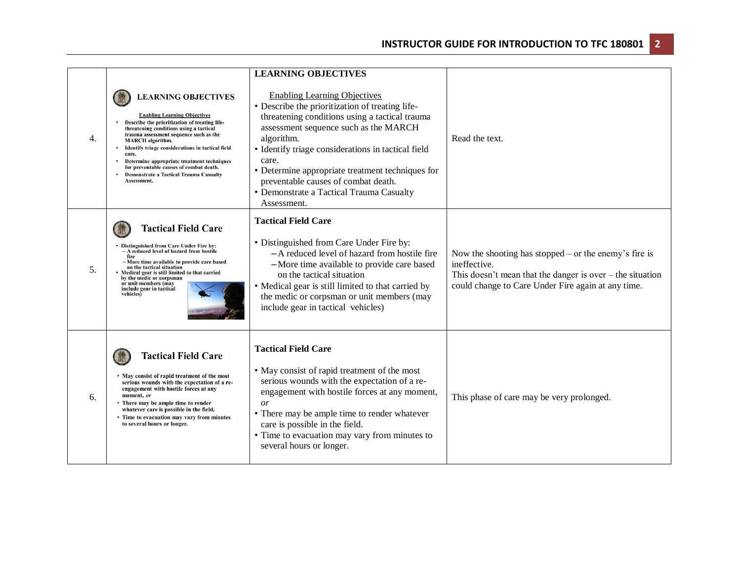|    |                                                                                                                                                                                                                                                                                                                                                                                                                                                   | <b>LEARNING OBJECTIVES</b>                                                                                                                                                                                                                                                                                                                                                                                           |                                                                                                                                                                                            |
|----|---------------------------------------------------------------------------------------------------------------------------------------------------------------------------------------------------------------------------------------------------------------------------------------------------------------------------------------------------------------------------------------------------------------------------------------------------|----------------------------------------------------------------------------------------------------------------------------------------------------------------------------------------------------------------------------------------------------------------------------------------------------------------------------------------------------------------------------------------------------------------------|--------------------------------------------------------------------------------------------------------------------------------------------------------------------------------------------|
| 4. | <b>LEARNING OBJECTIVES</b><br><b>Enabling Learning Objectives</b><br>Describe the prioritization of treating life-<br>threatening conditions using a tactical<br>trauma assessment sequence such as the<br><b>MARCH</b> algorithm.<br>Identify triage considerations in tactical field<br>care.<br>Determine appropriate treatment techniques<br>for preventable causes of combat death.<br>Demonstrate a Tactical Trauma Casualty<br>Assessment. | <b>Enabling Learning Objectives</b><br>• Describe the prioritization of treating life-<br>threatening conditions using a tactical trauma<br>assessment sequence such as the MARCH<br>algorithm.<br>• Identify triage considerations in tactical field<br>care.<br>• Determine appropriate treatment techniques for<br>preventable causes of combat death.<br>• Demonstrate a Tactical Trauma Casualty<br>Assessment. | Read the text.                                                                                                                                                                             |
| 5. | <b>Tactical Field Care</b><br>• Distinguished from Care Under Fire by:<br>- A reduced level of hazard from hostile<br>fire<br>- More time available to provide care based<br>on the tactical situation<br>Medical gear is still limited to that carried<br>by the medic or corpsman<br>or unit members (may<br>include gear in tactical<br>vehicles)                                                                                              | <b>Tactical Field Care</b><br>• Distinguished from Care Under Fire by:<br>- A reduced level of hazard from hostile fire<br>-More time available to provide care based<br>on the tactical situation<br>• Medical gear is still limited to that carried by<br>the medic or corpsman or unit members (may<br>include gear in tactical vehicles)                                                                         | Now the shooting has stopped – or the enemy's fire is<br>ineffective.<br>This doesn't mean that the danger is over $-$ the situation<br>could change to Care Under Fire again at any time. |
| 6. | <b>Tactical Field Care</b><br>• May consist of rapid treatment of the most<br>serious wounds with the expectation of a re-<br>engagement with hostile forces at any<br>moment, or<br>• There may be ample time to render<br>whatever care is possible in the field.<br>• Time to evacuation may vary from minutes<br>to several hours or longer.                                                                                                  | <b>Tactical Field Care</b><br>• May consist of rapid treatment of the most<br>serious wounds with the expectation of a re-<br>engagement with hostile forces at any moment,<br>$\overline{or}$<br>• There may be ample time to render whatever<br>care is possible in the field.<br>• Time to evacuation may vary from minutes to<br>several hours or longer.                                                        | This phase of care may be very prolonged.                                                                                                                                                  |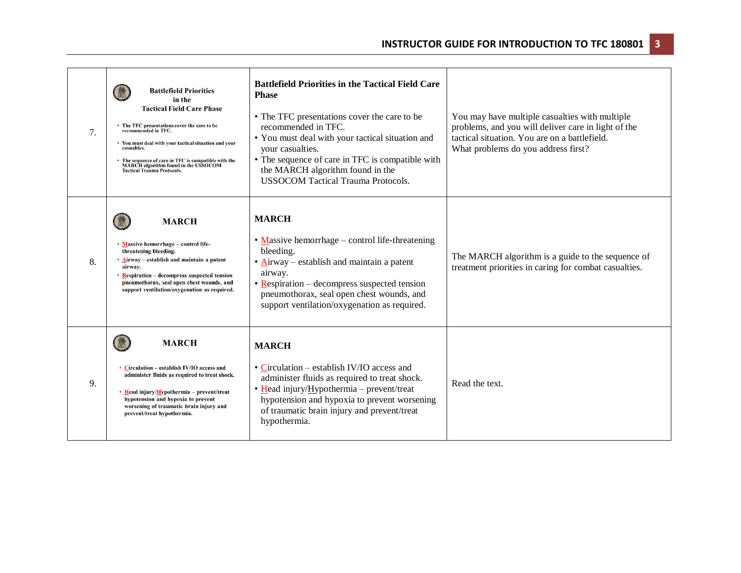| 7. | <b>Battlefield Priorities</b><br>in the<br><b>Tactical Field Care Phase</b><br>The TFC presentations cover the care to be<br>recommended in TFC.<br>Vou must deal with your tactical situation and your<br>casualties.<br>The sequence of care in TFC is compatible with the<br>MARCH algorithm found in the USSOCOM<br><b>Tactical Trauma Protocols.</b> | <b>Battlefield Priorities in the Tactical Field Care</b><br><b>Phase</b><br>• The TFC presentations cover the care to be<br>recommended in TFC.<br>• You must deal with your tactical situation and<br>your casualties.<br>• The sequence of care in TFC is compatible with<br>the MARCH algorithm found in the<br><b>USSOCOM Tactical Trauma Protocols.</b> | You may have multiple casualties with multiple<br>problems, and you will deliver care in light of the<br>tactical situation. You are on a battlefield.<br>What problems do you address first? |
|----|-----------------------------------------------------------------------------------------------------------------------------------------------------------------------------------------------------------------------------------------------------------------------------------------------------------------------------------------------------------|--------------------------------------------------------------------------------------------------------------------------------------------------------------------------------------------------------------------------------------------------------------------------------------------------------------------------------------------------------------|-----------------------------------------------------------------------------------------------------------------------------------------------------------------------------------------------|
| 8. | <b>MARCH</b><br>• Massive hemorrhage - control life-<br>threatening bleeding.<br>• Airway – establish and maintain a patent<br>airway.<br><b>Respiration – decompress suspected tension</b><br>pneumothorax, seal open chest wounds, and<br>support ventilation/oxygenation as required.                                                                  | <b>MARCH</b><br>$\bullet$ Massive hemorrhage – control life-threatening<br>bleeding.<br>• Airway – establish and maintain a patent<br>airway.<br>$\bullet$ Respiration – decompress suspected tension<br>pneumothorax, seal open chest wounds, and<br>support ventilation/oxygenation as required.                                                           | The MARCH algorithm is a guide to the sequence of<br>treatment priorities in caring for combat casualties.                                                                                    |
| 9. | <b>MARCH</b><br>• Circulation – establish IV/IO access and<br>administer fluids as required to treat shock.<br>• Head injury/Hypothermia – prevent/treat<br>hypotension and hypoxia to prevent<br>worsening of traumatic brain injury and<br>prevent/treat hypothermia.                                                                                   | <b>MARCH</b><br>• Circulation – establish IV/IO access and<br>administer fluids as required to treat shock.<br>• Head injury/Hypothermia - prevent/treat<br>hypotension and hypoxia to prevent worsening<br>of traumatic brain injury and prevent/treat<br>hypothermia.                                                                                      | Read the text.                                                                                                                                                                                |